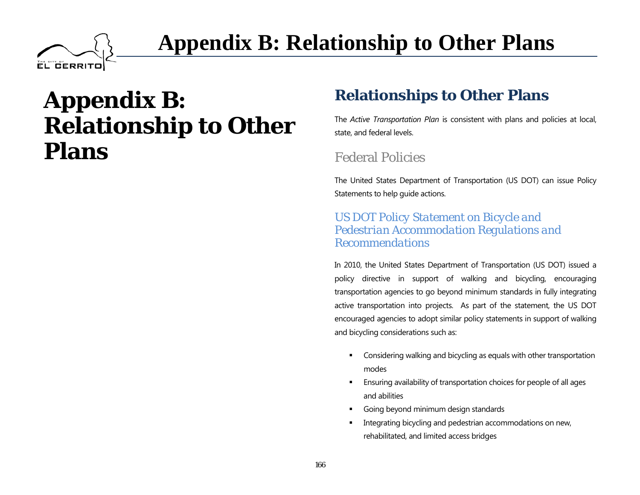# **Appendix B: Relationship to Other Plans**

**EL GERRITO** 

# **Relationships to Other Plans**

The *Active Transportation Plan* is consistent with plans and policies at local, state, and federal levels.

# Federal Policies

The United States Department of Transportation (US DOT) can issue Policy Statements to help guide actions.

#### *US DOT Policy Statement on Bicycle and Pedestrian Accommodation Regulations and Recommendations*

In 2010, the United States Department of Transportation (US DOT) issued a policy directive in support of walking and bicycling, encouraging transportation agencies to go beyond minimum standards in fully integrating active transportation into projects. As part of the statement, the US DOT encouraged agencies to adopt similar policy statements in support of walking and bicycling considerations such as:

- **EXECONS** Considering walking and bicycling as equals with other transportation modes
- Ensuring availability of transportation choices for people of all ages and abilities
- Going beyond minimum design standards
- Integrating bicycling and pedestrian accommodations on new, rehabilitated, and limited access bridges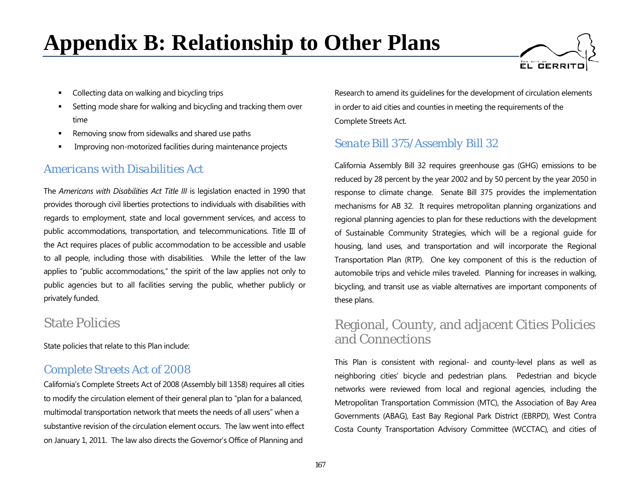

- Collecting data on walking and bicycling trips
- Setting mode share for walking and bicycling and tracking them over time
- Removing snow from sidewalks and shared use paths
- Improving non-motorized facilities during maintenance projects

#### *Americans with Disabilities Act*

The *Americans with Disabilities Act Title III* is legislation enacted in 1990 that provides thorough civil liberties protections to individuals with disabilities with regards to employment, state and local government services, and access to public accommodations, transportation, and telecommunications. Title III of the Act requires places of public accommodation to be accessible and usable to all people, including those with disabilities. While the letter of the law applies to "public accommodations," the spirit of the law applies not only to public agencies but to all facilities serving the public, whether publicly or privately funded.

## State Policies

State policies that relate to this Plan include:

### *Complete Streets Act of 2008*

California's Complete Streets Act of 2008 (Assembly bill 1358) requires all cities to modify the circulation element of their general plan to "plan for a balanced, multimodal transportation network that meets the needs of all users" when a substantive revision of the circulation element occurs. The law went into effect on January 1, 2011. The law also directs the Governor's Office of Planning and

Research to amend its guidelines for the development of circulation elements in order to aid cities and counties in meeting the requirements of the Complete Streets Act.

# *Senate Bill 375/Assembly Bill 32*

California Assembly Bill 32 requires greenhouse gas (GHG) emissions to be reduced by 28 percent by the year 2002 and by 50 percent by the year 2050 in response to climate change. Senate Bill 375 provides the implementation mechanisms for AB 32. It requires metropolitan planning organizations and regional planning agencies to plan for these reductions with the development of Sustainable Community Strategies, which will be a regional guide for housing, land uses, and transportation and will incorporate the Regional Transportation Plan (RTP). One key component of this is the reduction of automobile trips and vehicle miles traveled. Planning for increases in walking, bicycling, and transit use as viable alternatives are important components of these plans.

# Regional, County, and adjacent Cities Policies and Connections

This Plan is consistent with regional- and county-level plans as well as neighboring cities' bicycle and pedestrian plans. Pedestrian and bicycle networks were reviewed from local and regional agencies, including the Metropolitan Transportation Commission (MTC), the Association of Bay Area Governments (ABAG), East Bay Regional Park District (EBRPD), West Contra Costa County Transportation Advisory Committee (WCCTAC), and cities of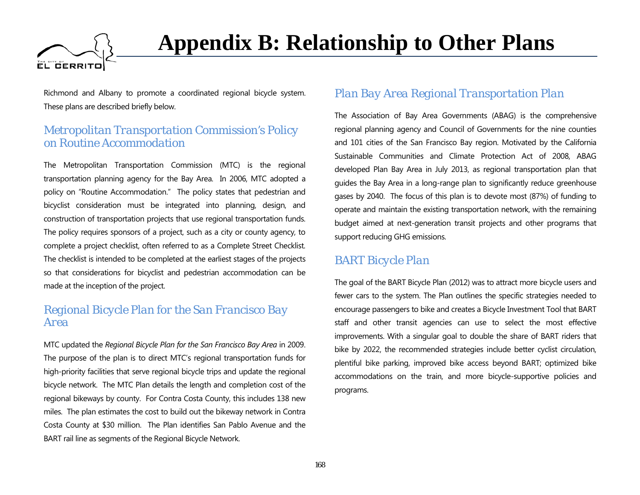

Richmond and Albany to promote a coordinated regional bicycle system. These plans are described briefly below.

#### *Metropolitan Transportation Commission's Policy on Routine Accommodation*

The Metropolitan Transportation Commission (MTC) is the regional transportation planning agency for the Bay Area. In 2006, MTC adopted a policy on "Routine Accommodation." The policy states that pedestrian and bicyclist consideration must be integrated into planning, design, and construction of transportation projects that use regional transportation funds. The policy requires sponsors of a project, such as a city or county agency, to complete a project checklist, often referred to as a Complete Street Checklist. The checklist is intended to be completed at the earliest stages of the projects so that considerations for bicyclist and pedestrian accommodation can be made at the inception of the project.

#### *Regional Bicycle Plan for the San Francisco Bay Area*

MTC updated the *Regional Bicycle Plan for the San Francisco Bay Area* in 2009. The purpose of the plan is to direct MTC's regional transportation funds for high-priority facilities that serve regional bicycle trips and update the regional bicycle network. The MTC Plan details the length and completion cost of the regional bikeways by county. For Contra Costa County, this includes 138 new miles. The plan estimates the cost to build out the bikeway network in Contra Costa County at \$30 million. The Plan identifies San Pablo Avenue and the BART rail line as segments of the Regional Bicycle Network.

### *Plan Bay Area Regional Transportation Plan*

The Association of Bay Area Governments (ABAG) is the comprehensive regional planning agency and Council of Governments for the nine counties and 101 cities of the San Francisco Bay region. Motivated by the California Sustainable Communities and Climate Protection Act of 2008, ABAG developed Plan Bay Area in July 2013, as regional transportation plan that guides the Bay Area in a long-range plan to significantly reduce greenhouse gases by 2040. The focus of this plan is to devote most (87%) of funding to operate and maintain the existing transportation network, with the remaining budget aimed at next-generation transit projects and other programs that support reducing GHG emissions.

### *BART Bicycle Plan*

The goal of the BART Bicycle Plan (2012) was to attract more bicycle users and fewer cars to the system. The Plan outlines the specific strategies needed to encourage passengers to bike and creates a Bicycle Investment Tool that BART staff and other transit agencies can use to select the most effective improvements. With a singular goal to double the share of BART riders that bike by 2022, the recommended strategies include better cyclist circulation, plentiful bike parking, improved bike access beyond BART; optimized bike accommodations on the train, and more bicycle-supportive policies and programs.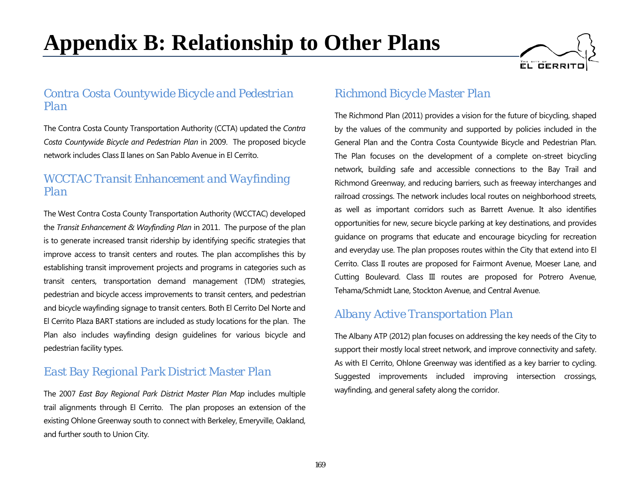

#### *Contra Costa Countywide Bicycle and Pedestrian Plan*

The Contra Costa County Transportation Authority (CCTA) updated the *Contra Costa Countywide Bicycle and Pedestrian Plan* in 2009. The proposed bicycle network includes Class II lanes on San Pablo Avenue in El Cerrito.

#### *WCCTAC Transit Enhancement and Wayfinding Plan*

The West Contra Costa County Transportation Authority (WCCTAC) developed the *Transit Enhancement & Wayfinding Plan* in 2011. The purpose of the plan is to generate increased transit ridership by identifying specific strategies that improve access to transit centers and routes. The plan accomplishes this by establishing transit improvement projects and programs in categories such as transit centers, transportation demand management (TDM) strategies, pedestrian and bicycle access improvements to transit centers, and pedestrian and bicycle wayfinding signage to transit centers. Both El Cerrito Del Norte and El Cerrito Plaza BART stations are included as study locations for the plan. The Plan also includes wayfinding design guidelines for various bicycle and pedestrian facility types.

### *East Bay Regional Park District Master Plan*

The 2007 *East Bay Regional Park District Master Plan Map* includes multiple trail alignments through El Cerrito. The plan proposes an extension of the existing Ohlone Greenway south to connect with Berkeley, Emeryville, Oakland, and further south to Union City.

### *Richmond Bicycle Master Plan*

The Richmond Plan (2011) provides a vision for the future of bicycling, shaped by the values of the community and supported by policies included in the General Plan and the Contra Costa Countywide Bicycle and Pedestrian Plan. The Plan focuses on the development of a complete on-street bicycling network, building safe and accessible connections to the Bay Trail and Richmond Greenway, and reducing barriers, such as freeway interchanges and railroad crossings. The network includes local routes on neighborhood streets, as well as important corridors such as Barrett Avenue. It also identifies opportunities for new, secure bicycle parking at key destinations, and provides guidance on programs that educate and encourage bicycling for recreation and everyday use. The plan proposes routes within the City that extend into El Cerrito. Class II routes are proposed for Fairmont Avenue, Moeser Lane, and Cutting Boulevard. Class III routes are proposed for Potrero Avenue, Tehama/Schmidt Lane, Stockton Avenue, and Central Avenue.

#### *Albany Active Transportation Plan*

The Albany ATP (2012) plan focuses on addressing the key needs of the City to support their mostly local street network, and improve connectivity and safety. As with El Cerrito, Ohlone Greenway was identified as a key barrier to cycling. Suggested improvements included improving intersection crossings, wayfinding, and general safety along the corridor.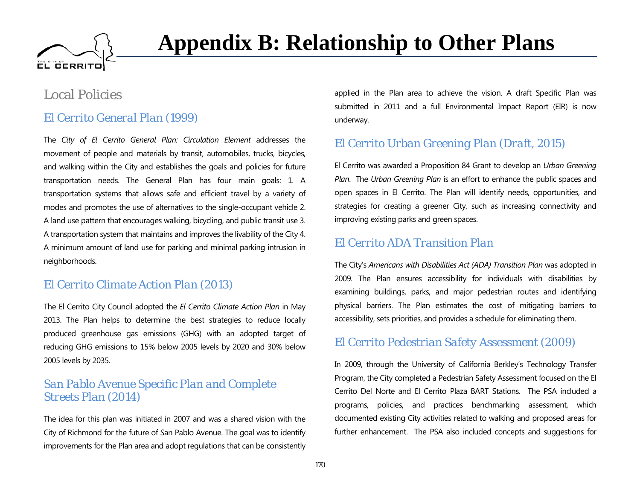

# Local Policies

### *El Cerrito General Plan (1999)*

The *City of El Cerrito General Plan: Circulation Element* addresses the movement of people and materials by transit, automobiles, trucks, bicycles, and walking within the City and establishes the goals and policies for future transportation needs. The General Plan has four main goals: 1. A transportation systems that allows safe and efficient travel by a variety of modes and promotes the use of alternatives to the single-occupant vehicle 2. A land use pattern that encourages walking, bicycling, and public transit use 3. A transportation system that maintains and improves the livability of the City 4. A minimum amount of land use for parking and minimal parking intrusion in neighborhoods.

#### *El Cerrito Climate Action Plan (2013)*

The El Cerrito City Council adopted the *El Cerrito Climate Action Plan* in May 2013. The Plan helps to determine the best strategies to reduce locally produced greenhouse gas emissions (GHG) with an adopted target of reducing GHG emissions to 15% below 2005 levels by 2020 and 30% below 2005 levels by 2035.

#### *San Pablo Avenue Specific Plan and Complete Streets Plan (2014)*

The idea for this plan was initiated in 2007 and was a shared vision with the City of Richmond for the future of San Pablo Avenue. The goal was to identify improvements for the Plan area and adopt regulations that can be consistently

applied in the Plan area to achieve the vision. A draft Specific Plan was submitted in 2011 and a full Environmental Impact Report (EIR) is now underway.

# *El Cerrito Urban Greening Plan (Draft, 2015)*

El Cerrito was awarded a Proposition 84 Grant to develop an *Urban Greening Plan*. The *Urban Greening Plan* is an effort to enhance the public spaces and open spaces in El Cerrito. The Plan will identify needs, opportunities, and strategies for creating a greener City, such as increasing connectivity and improving existing parks and green spaces.

#### *El Cerrito ADA Transition Plan*

The City's *Americans with Disabilities Act (ADA) Transition Plan* was adopted in 2009. The Plan ensures accessibility for individuals with disabilities by examining buildings, parks, and major pedestrian routes and identifying physical barriers. The Plan estimates the cost of mitigating barriers to accessibility, sets priorities, and provides a schedule for eliminating them.

#### *El Cerrito Pedestrian Safety Assessment (2009)*

In 2009, through the University of California Berkley's Technology Transfer Program, the City completed a Pedestrian Safety Assessment focused on the El Cerrito Del Norte and El Cerrito Plaza BART Stations. The PSA included a programs, policies, and practices benchmarking assessment, which documented existing City activities related to walking and proposed areas for further enhancement. The PSA also included concepts and suggestions for